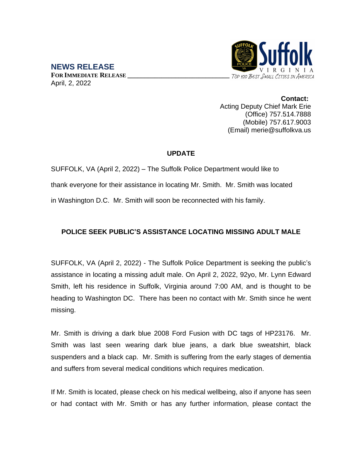## TOP 100 BEST SMALL CITIES IN AMERICA

**NEWS RELEASE FOR IMMEDIATE RELEASE \_\_\_\_\_\_\_\_\_\_\_\_\_\_\_\_\_\_\_\_\_\_\_\_\_\_\_\_\_\_** April, 2, 2022

> **Contact:** Acting Deputy Chief Mark Erie (Office) 757.514.7888 (Mobile) 757.617.9003 (Email) merie@suffolkva.us

## **UPDATE**

SUFFOLK, VA (April 2, 2022) – The Suffolk Police Department would like to thank everyone for their assistance in locating Mr. Smith. Mr. Smith was located in Washington D.C. Mr. Smith will soon be reconnected with his family.

## **POLICE SEEK PUBLIC'S ASSISTANCE LOCATING MISSING ADULT MALE**

SUFFOLK, VA (April 2, 2022) - The Suffolk Police Department is seeking the public's assistance in locating a missing adult male. On April 2, 2022, 92yo, Mr. Lynn Edward Smith, left his residence in Suffolk, Virginia around 7:00 AM, and is thought to be heading to Washington DC. There has been no contact with Mr. Smith since he went missing.

Mr. Smith is driving a dark blue 2008 Ford Fusion with DC tags of HP23176. Mr. Smith was last seen wearing dark blue jeans, a dark blue sweatshirt, black suspenders and a black cap. Mr. Smith is suffering from the early stages of dementia and suffers from several medical conditions which requires medication.

If Mr. Smith is located, please check on his medical wellbeing, also if anyone has seen or had contact with Mr. Smith or has any further information, please contact the